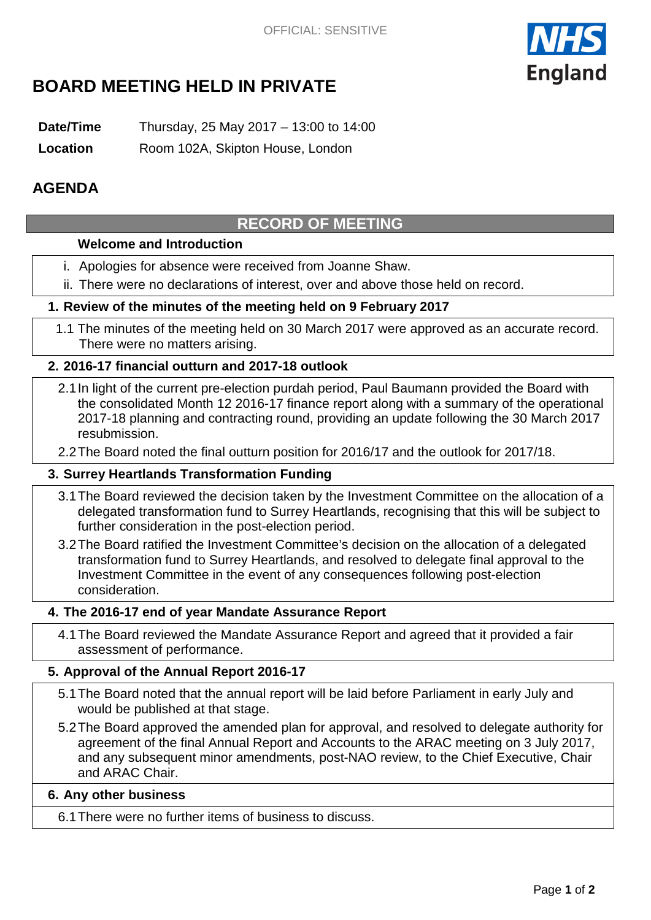

# **BOARD MEETING HELD IN PRIVATE**

**Date/Time** Thursday, 25 May 2017 – 13:00 to 14:00

**Location** Room 102A, Skipton House, London

## **AGENDA**

# **RECORD OF MEETING**

### **Welcome and Introduction**

- i. Apologies for absence were received from Joanne Shaw.
- ii. There were no declarations of interest, over and above those held on record.

### **1. Review of the minutes of the meeting held on 9 February 2017**

1.1 The minutes of the meeting held on 30 March 2017 were approved as an accurate record. There were no matters arising.

### **2. 2016-17 financial outturn and 2017-18 outlook**

2.1In light of the current pre-election purdah period, Paul Baumann provided the Board with the consolidated Month 12 2016-17 finance report along with a summary of the operational 2017-18 planning and contracting round, providing an update following the 30 March 2017 resubmission.

2.2The Board noted the final outturn position for 2016/17 and the outlook for 2017/18.

### **3. Surrey Heartlands Transformation Funding**

- 3.1The Board reviewed the decision taken by the Investment Committee on the allocation of a delegated transformation fund to Surrey Heartlands, recognising that this will be subject to further consideration in the post-election period.
- 3.2The Board ratified the Investment Committee's decision on the allocation of a delegated transformation fund to Surrey Heartlands, and resolved to delegate final approval to the Investment Committee in the event of any consequences following post-election consideration.

### **4. The 2016-17 end of year Mandate Assurance Report**

4.1The Board reviewed the Mandate Assurance Report and agreed that it provided a fair assessment of performance.

### **5. Approval of the Annual Report 2016-17**

- 5.1The Board noted that the annual report will be laid before Parliament in early July and would be published at that stage.
- 5.2The Board approved the amended plan for approval, and resolved to delegate authority for agreement of the final Annual Report and Accounts to the ARAC meeting on 3 July 2017, and any subsequent minor amendments, post-NAO review, to the Chief Executive, Chair and ARAC Chair.

### **6. Any other business**

6.1There were no further items of business to discuss.